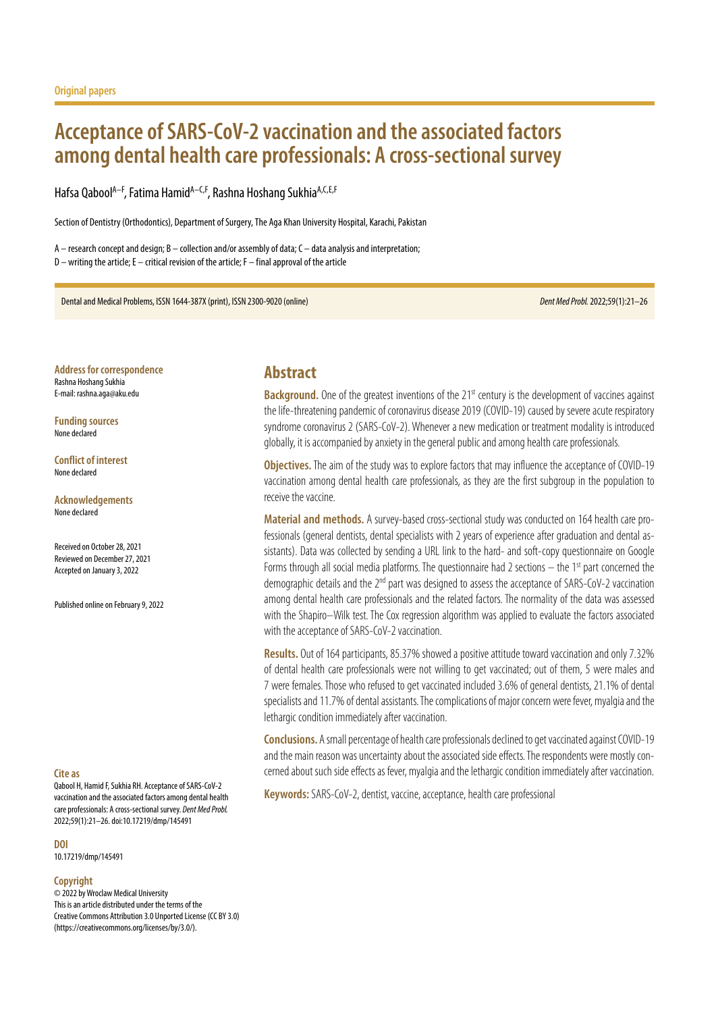# **Acceptance of SARS-CoV-2 vaccination and the associated factors among dental health care professionals: A cross-sectional survey**

Hafsa Qabool<sup>A–F</sup>, Fatima Hamid<sup>A–C,F</sup>, Rashna Hoshang Sukhia<sup>A,C,E,F</sup>

Section of Dentistry (Orthodontics), Department of Surgery, The Aga Khan University Hospital, Karachi, Pakistan

A – research concept and design; B – collection and/or assembly of data; C – data analysis and interpretation; D – writing the article; E – critical revision of the article; F – final approval of the article

Dental and Medical Problems, ISSN 1644-387X (print), ISSN 2300-9020 (online) *Dent Med Probl.* 2022;59(1):21–26

**Address for correspondence** Rashna Hoshang Sukhia E-mail: rashna.aga@aku.edu

**Funding sources** None declared

**Conflict of interest** None declared

**Acknowledgements** None declared

Received on October 28, 2021 Reviewed on December 27, 2021 Accepted on January 3, 2022

Published online on February 9, 2022

#### **Cite as**

Qabool H, Hamid F, Sukhia RH. Acceptance of SARS-CoV-2 vaccination and the associated factors among dental health care professionals: A cross-sectional survey. *Dent Med Probl.* 2022;59(1):21–26. doi:10.17219/dmp/145491

**DOI**

10.17219/dmp/145491

#### **Copyright**

© 2022 by Wroclaw Medical University This is an article distributed under the terms of the Creative Commons Attribution 3.0 Unported License (CC BY 3.0) [\(https://creativecommons.org/licenses/by/3.0/\)](https://creativecommons.org/licenses/by/3.0/).

### **Abstract**

**Background.** One of the greatest inventions of the 21<sup>st</sup> century is the development of vaccines against the life-threatening pandemic of coronavirus disease 2019 (COVID-19) caused by severe acute respiratory syndrome coronavirus 2 (SARS-CoV-2). Whenever a new medication or treatment modality is introduced globally, it is accompanied by anxiety in the general public and among health care professionals.

**Objectives.** The aim of the study was to explore factors that may influence the acceptance of COVID-19 vaccination among dental health care professionals, as they are the first subgroup in the population to receive the vaccine.

**Material and methods.** A survey-based cross-sectional study was conducted on 164 health care professionals (general dentists, dental specialists with 2 years of experience after graduation and dental assistants). Data was collected by sending a URL link to the hard- and soft-copy questionnaire on Google Forms through all social media platforms. The questionnaire had 2 sections  $-$  the 1<sup>st</sup> part concerned the demographic details and the 2<sup>nd</sup> part was designed to assess the acceptance of SARS-CoV-2 vaccination among dental health care professionals and the related factors. The normality of the data was assessed with the Shapiro–Wilk test. The Cox regression algorithm was applied to evaluate the factors associated with the acceptance of SARS-CoV-2 vaccination.

**Results.** Out of 164 participants, 85.37% showed a positive attitude toward vaccination and only 7.32% of dental health care professionals were not willing to get vaccinated; out of them, 5 were males and 7 were females. Those who refused to get vaccinated included 3.6% of general dentists, 21.1% of dental specialists and 11.7% of dental assistants. The complications of major concern were fever, myalgia and the lethargic condition immediately after vaccination.

**Conclusions.** A small percentage of health care professionals declined to get vaccinated against COVID-19 and the main reason was uncertainty about the associated side effects. The respondents were mostly concerned about such side effects as fever, myalgia and the lethargic condition immediately after vaccination.

**Keywords:** SARS-CoV-2, dentist, vaccine, acceptance, health care professional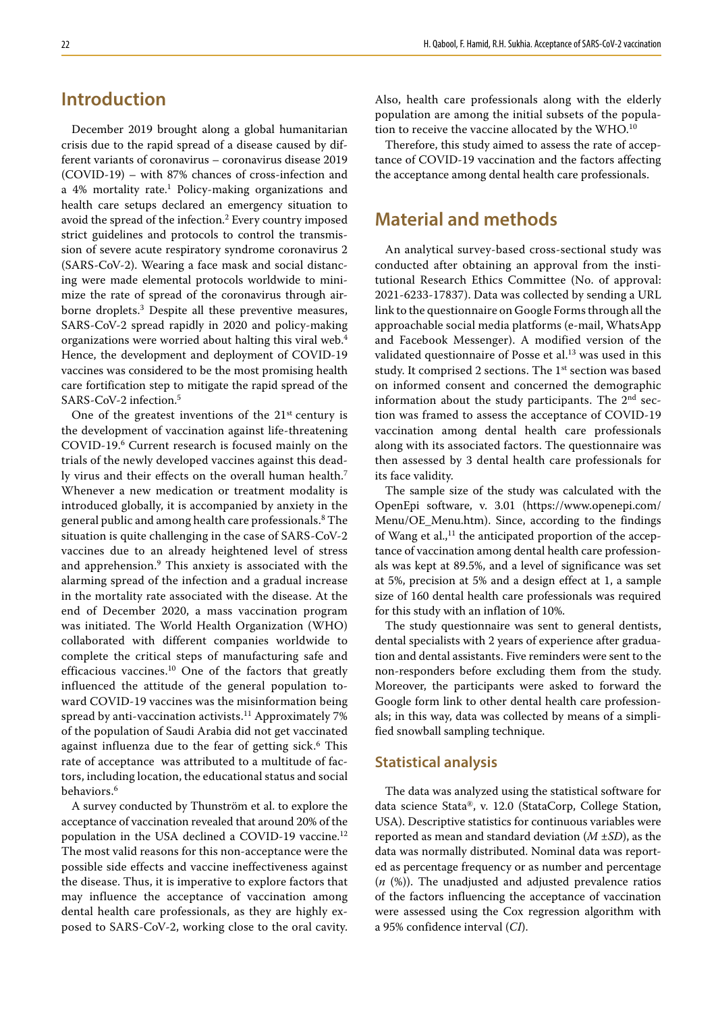# **Introduction**

December 2019 brought along a global humanitarian crisis due to the rapid spread of a disease caused by different variants of coronavirus – coronavirus disease 2019 (COVID-19) – with 87% chances of cross-infection and a 4% mortality rate.<sup>1</sup> Policy-making organizations and health care setups declared an emergency situation to avoid the spread of the infection.<sup>2</sup> Every country imposed strict guidelines and protocols to control the transmission of severe acute respiratory syndrome coronavirus 2 (SARS-CoV-2). Wearing a face mask and social distancing were made elemental protocols worldwide to minimize the rate of spread of the coronavirus through airborne droplets.<sup>3</sup> Despite all these preventive measures, SARS-CoV-2 spread rapidly in 2020 and policy-making organizations were worried about halting this viral web.<sup>4</sup> Hence, the development and deployment of COVID-19 vaccines was considered to be the most promising health care fortification step to mitigate the rapid spread of the SARS-CoV-2 infection.5

One of the greatest inventions of the  $21<sup>st</sup>$  century is the development of vaccination against life-threatening COVID-19.6 Current research is focused mainly on the trials of the newly developed vaccines against this deadly virus and their effects on the overall human health.<sup>7</sup> Whenever a new medication or treatment modality is introduced globally, it is accompanied by anxiety in the general public and among health care professionals.<sup>8</sup> The situation is quite challenging in the case of SARS-CoV-2 vaccines due to an already heightened level of stress and apprehension.<sup>9</sup> This anxiety is associated with the alarming spread of the infection and a gradual increase in the mortality rate associated with the disease. At the end of December 2020, a mass vaccination program was initiated. The World Health Organization (WHO) collaborated with different companies worldwide to complete the critical steps of manufacturing safe and efficacious vaccines.<sup>10</sup> One of the factors that greatly influenced the attitude of the general population toward COVID-19 vaccines was the misinformation being spread by anti-vaccination activists.<sup>11</sup> Approximately 7% of the population of Saudi Arabia did not get vaccinated against influenza due to the fear of getting sick.<sup>6</sup> This rate of acceptance was attributed to a multitude of factors, including location, the educational status and social behaviors.<sup>6</sup>

A survey conducted by Thunström et al. to explore the acceptance of vaccination revealed that around 20% of the population in the USA declined a COVID-19 vaccine.<sup>12</sup> The most valid reasons for this non-acceptance were the possible side effects and vaccine ineffectiveness against the disease. Thus, it is imperative to explore factors that may influence the acceptance of vaccination among dental health care professionals, as they are highly exposed to SARS-CoV-2, working close to the oral cavity. Also, health care professionals along with the elderly population are among the initial subsets of the population to receive the vaccine allocated by the WHO.<sup>10</sup>

Therefore, this study aimed to assess the rate of acceptance of COVID-19 vaccination and the factors affecting the acceptance among dental health care professionals.

## **Material and methods**

An analytical survey-based cross-sectional study was conducted after obtaining an approval from the institutional Research Ethics Committee (No. of approval: 2021-6233-17837). Data was collected by sending a URL link to the questionnaire on Google Forms through all the approachable social media platforms (e-mail, WhatsApp and Facebook Messenger). A modified version of the validated questionnaire of Posse et al.<sup>13</sup> was used in this study. It comprised 2 sections. The 1<sup>st</sup> section was based on informed consent and concerned the demographic information about the study participants. The 2<sup>nd</sup> section was framed to assess the acceptance of COVID-19 vaccination among dental health care professionals along with its associated factors. The questionnaire was then assessed by 3 dental health care professionals for its face validity.

The sample size of the study was calculated with the OpenEpi software, v. 3.01 ([https://www.openepi.com/](https://www.openepi.com/Menu/OE_Menu.htm) [Menu/OE\\_Menu.htm\)](https://www.openepi.com/Menu/OE_Menu.htm). Since, according to the findings of Wang et al., $^{11}$  the anticipated proportion of the acceptance of vaccination among dental health care professionals was kept at 89.5%, and a level of significance was set at 5%, precision at 5% and a design effect at 1, a sample size of 160 dental health care professionals was required for this study with an inflation of 10%.

The study questionnaire was sent to general dentists, dental specialists with 2 years of experience after graduation and dental assistants. Five reminders were sent to the non-responders before excluding them from the study. Moreover, the participants were asked to forward the Google form link to other dental health care professionals; in this way, data was collected by means of a simplified snowball sampling technique.

#### **Statistical analysis**

The data was analyzed using the statistical software for data science Stata®, v. 12.0 (StataCorp, College Station, USA). Descriptive statistics for continuous variables were reported as mean and standard deviation (*M* ±*SD*), as the data was normally distributed. Nominal data was reported as percentage frequency or as number and percentage (*n* (%)). The unadjusted and adjusted prevalence ratios of the factors influencing the acceptance of vaccination were assessed using the Cox regression algorithm with a 95% confidence interval (*CI*).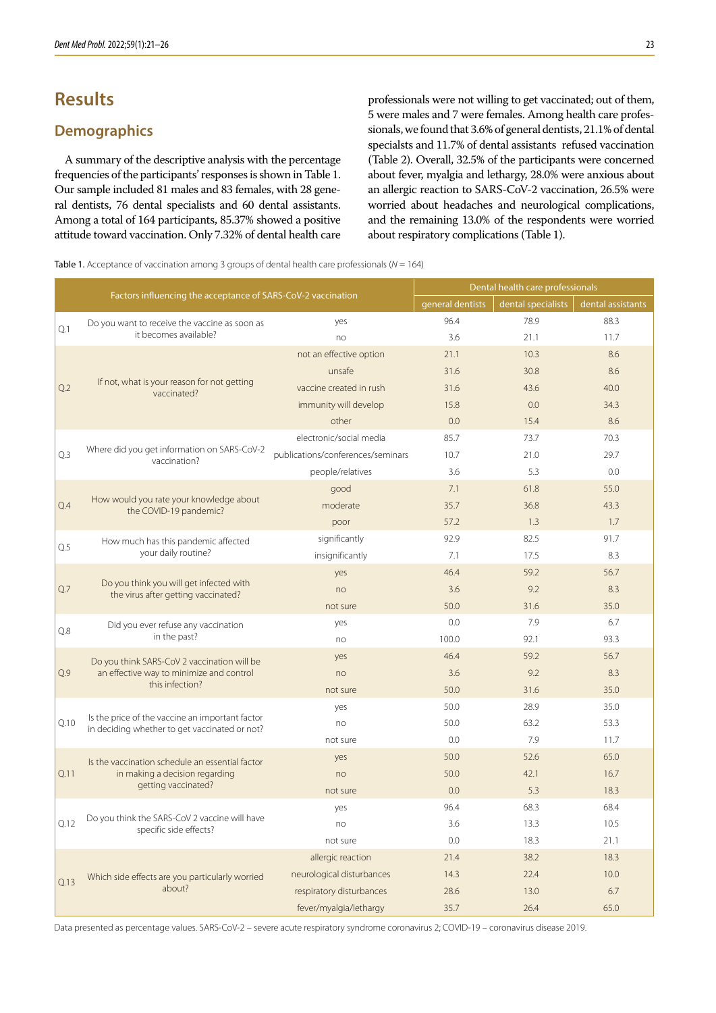# **Results**

### **Demographics**

A summary of the descriptive analysis with the percentage frequencies of the participants' responses is shown in Table 1. Our sample included 81 males and 83 females, with 28 general dentists, 76 dental specialists and 60 dental assistants. Among a total of 164 participants, 85.37% showed a positive attitude toward vaccination. Only 7.32% of dental health care professionals were not willing to get vaccinated; out of them, 5 were males and 7 were females. Among health care professionals, we found that 3.6% of general dentists, 21.1% of dental specialsts and 11.7% of dental assistants refused vaccination (Table 2). Overall, 32.5% of the participants were concerned about fever, myalgia and lethargy, 28.0% were anxious about an allergic reaction to SARS-CoV-2 vaccination, 26.5% were worried about headaches and neurological complications, and the remaining 13.0% of the respondents were worried about respiratory complications (Table 1).

Table 1. Acceptance of vaccination among 3 groups of dental health care professionals (*N* = 164)

|      |                                                                                                            | Dental health care professionals  |                    |                   |      |  |
|------|------------------------------------------------------------------------------------------------------------|-----------------------------------|--------------------|-------------------|------|--|
|      | Factors influencing the acceptance of SARS-CoV-2 vaccination                                               | general dentists                  | dental specialists | dental assistants |      |  |
| Q.1  | Do you want to receive the vaccine as soon as                                                              | yes                               | 96.4               | 78.9              | 88.3 |  |
|      | it becomes available?                                                                                      | no                                | 3.6                | 21.1              | 11.7 |  |
| Q.2  | If not, what is your reason for not getting<br>vaccinated?                                                 | not an effective option           | 21.1               | 10.3              | 8.6  |  |
|      |                                                                                                            | unsafe                            | 31.6               | 30.8              | 8.6  |  |
|      |                                                                                                            | vaccine created in rush           | 31.6               | 43.6              | 40.0 |  |
|      |                                                                                                            | immunity will develop             | 15.8               | 0.0               | 34.3 |  |
|      |                                                                                                            | other                             | 0.0                | 15.4              | 8.6  |  |
| Q.3  | Where did you get information on SARS-CoV-2<br>vaccination?                                                | electronic/social media           | 85.7               | 73.7              | 70.3 |  |
|      |                                                                                                            | publications/conferences/seminars | 10.7               | 21.0              | 29.7 |  |
|      |                                                                                                            | people/relatives                  | 3.6                | 5.3               | 0.0  |  |
|      | How would you rate your knowledge about<br>the COVID-19 pandemic?                                          | good                              | 7.1                | 61.8              | 55.0 |  |
| Q.4  |                                                                                                            | moderate                          | 35.7               | 36.8              | 43.3 |  |
|      |                                                                                                            | poor                              | 57.2               | 1.3               | 1.7  |  |
| Q.5  | How much has this pandemic affected<br>your daily routine?                                                 | significantly                     | 92.9               | 82.5              | 91.7 |  |
|      |                                                                                                            | insignificantly                   | 7.1                | 17.5              | 8.3  |  |
|      | Do you think you will get infected with<br>the virus after getting vaccinated?                             | yes                               | 46.4               | 59.2              | 56.7 |  |
| Q.7  |                                                                                                            | no                                | 3.6                | 9.2               | 8.3  |  |
|      |                                                                                                            | not sure                          | 50.0               | 31.6              | 35.0 |  |
| Q.8  | Did you ever refuse any vaccination                                                                        | yes                               | 0.0                | 7.9               | 6.7  |  |
|      | in the past?                                                                                               | no                                | 100.0              | 92.1              | 93.3 |  |
|      | Do you think SARS-CoV 2 vaccination will be<br>an effective way to minimize and control<br>this infection? | yes                               | 46.4               | 59.2              | 56.7 |  |
| Q.9  |                                                                                                            | no                                | 3.6                | 9.2               | 8.3  |  |
|      |                                                                                                            | not sure                          | 50.0               | 31.6              | 35.0 |  |
|      | Is the price of the vaccine an important factor<br>in deciding whether to get vaccinated or not?           | yes                               | 50.0               | 28.9              | 35.0 |  |
| Q.10 |                                                                                                            | no                                | 50.0               | 63.2              | 53.3 |  |
|      |                                                                                                            | not sure                          | 0.0                | 7.9               | 11.7 |  |
|      | Is the vaccination schedule an essential factor<br>in making a decision regarding<br>getting vaccinated?   | yes                               | 50.0               | 52.6              | 65.0 |  |
| Q.11 |                                                                                                            | no                                | 50.0               | 42.1              | 16.7 |  |
|      |                                                                                                            | not sure                          | 0.0                | 5.3               | 18.3 |  |
|      |                                                                                                            | yes                               | 96.4               | 68.3              | 68.4 |  |
| Q.12 | Do you think the SARS-CoV 2 vaccine will have<br>specific side effects?                                    | no                                | 3.6                | 13.3              | 10.5 |  |
|      |                                                                                                            | not sure                          | 0.0                | 18.3              | 21.1 |  |
|      |                                                                                                            | allergic reaction                 | 21.4               | 38.2              | 18.3 |  |
| Q.13 | Which side effects are you particularly worried                                                            | neurological disturbances         | 14.3               | 22.4              | 10.0 |  |
|      | about?                                                                                                     | respiratory disturbances          | 28.6               | 13.0              | 6.7  |  |
|      |                                                                                                            | fever/myalgia/lethargy            | 35.7               | 26.4              | 65.0 |  |

Data presented as percentage values. SARS-CoV-2 – severe acute respiratory syndrome coronavirus 2; COVID-19 – coronavirus disease 2019.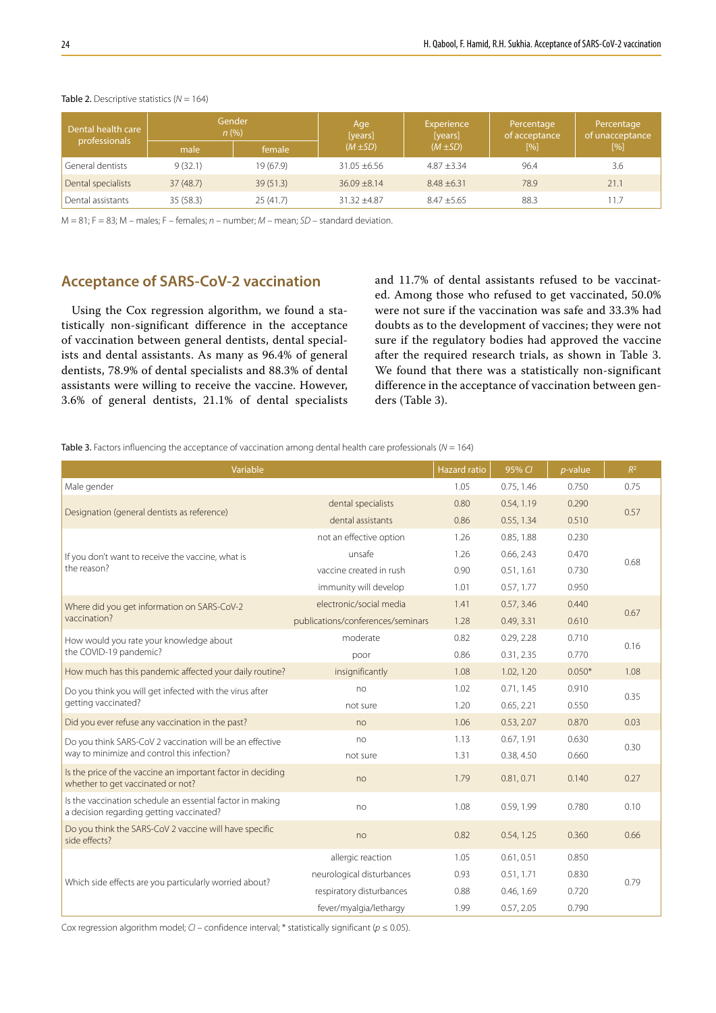| Dental health care<br>professionals | <b>Gender</b><br>n(%) |           | Age<br>[years]   | Experience<br>[years] | Percentage<br>of acceptance | Percentage<br>of unacceptance |  |
|-------------------------------------|-----------------------|-----------|------------------|-----------------------|-----------------------------|-------------------------------|--|
|                                     | male                  | female    | $(M \pm SD)$     | $(M \pm SD)$          | [%]                         | [%]                           |  |
| General dentists                    | 9(32.1)               | 19 (67.9) | $31.05 \pm 6.56$ | $4.87 + 3.34$         | 96.4                        | 3.6                           |  |
| Dental specialists                  | 37(48.7)              | 39(51.3)  | $36.09 \pm 8.14$ | $8.48 + 6.31$         | 78.9                        | 21.1                          |  |
| Dental assistants                   | 35(58.3)              | 25(41.7)  | $31.32 + 4.87$   | $8.47 + 5.65$         | 88.3                        | 11.7                          |  |

#### Table 2. Descriptive statistics ( $N = 164$ )

M = 81; F = 83; M – males; F – females; *n* – number; *M* – mean; *SD* – standard deviation.

### **Acceptance of SARS-CoV-2 vaccination**

Using the Cox regression algorithm, we found a statistically non-significant difference in the acceptance of vaccination between general dentists, dental specialists and dental assistants. As many as 96.4% of general dentists, 78.9% of dental specialists and 88.3% of dental assistants were willing to receive the vaccine. However, 3.6% of general dentists, 21.1% of dental specialists and 11.7% of dental assistants refused to be vaccinated. Among those who refused to get vaccinated, 50.0% were not sure if the vaccination was safe and 33.3% had doubts as to the development of vaccines; they were not sure if the regulatory bodies had approved the vaccine after the required research trials, as shown in Table 3. We found that there was a statistically non-significant difference in the acceptance of vaccination between genders (Table 3).

Table 3. Factors influencing the acceptance of vaccination among dental health care professionals (*N* = 164)

| Variable                                                                                              |                                   |      | 95% CI     | $p$ -value | $R^2$ |  |
|-------------------------------------------------------------------------------------------------------|-----------------------------------|------|------------|------------|-------|--|
| Male gender                                                                                           |                                   | 1.05 | 0.75, 1.46 | 0.750      | 0.75  |  |
| Designation (general dentists as reference)                                                           | dental specialists                | 0.80 | 0.54, 1.19 | 0.290      | 0.57  |  |
|                                                                                                       | dental assistants                 | 0.86 | 0.55, 1.34 | 0.510      |       |  |
|                                                                                                       | not an effective option           | 1.26 | 0.85, 1.88 | 0.230      | 0.68  |  |
| If you don't want to receive the vaccine, what is                                                     | unsafe                            | 1.26 | 0.66, 2.43 | 0.470      |       |  |
| the reason?                                                                                           | vaccine created in rush           | 0.90 | 0.51, 1.61 | 0.730      |       |  |
|                                                                                                       | immunity will develop             | 1.01 | 0.57, 1.77 | 0.950      |       |  |
| Where did you get information on SARS-CoV-2                                                           | electronic/social media           | 1.41 | 0.57, 3.46 | 0.440      | 0.67  |  |
| vaccination?                                                                                          | publications/conferences/seminars | 1.28 | 0.49, 3.31 | 0.610      |       |  |
| How would you rate your knowledge about                                                               | moderate                          | 0.82 | 0.29, 2.28 | 0.710      | 0.16  |  |
| the COVID-19 pandemic?                                                                                | poor                              | 0.86 | 0.31, 2.35 | 0.770      |       |  |
| How much has this pandemic affected your daily routine?                                               | insignificantly                   | 1.08 | 1.02, 1.20 | $0.050*$   | 1.08  |  |
| Do you think you will get infected with the virus after                                               | no                                | 1.02 | 0.71, 1.45 | 0.910      | 0.35  |  |
| getting vaccinated?                                                                                   | not sure                          | 1.20 | 0.65, 2.21 | 0.550      |       |  |
| Did you ever refuse any vaccination in the past?                                                      | no                                | 1.06 | 0.53, 2.07 | 0.870      | 0.03  |  |
| Do you think SARS-CoV 2 vaccination will be an effective                                              | no                                | 1.13 | 0.67, 1.91 | 0.630      | 0.30  |  |
| way to minimize and control this infection?                                                           | not sure                          | 1.31 | 0.38, 4.50 | 0.660      |       |  |
| Is the price of the vaccine an important factor in deciding<br>whether to get vaccinated or not?      | no                                | 1.79 | 0.81, 0.71 | 0.140      | 0.27  |  |
| Is the vaccination schedule an essential factor in making<br>a decision regarding getting vaccinated? | no                                | 1.08 | 0.59, 1.99 | 0.780      | 0.10  |  |
| Do you think the SARS-CoV 2 vaccine will have specific<br>side effects?                               | no                                | 0.82 | 0.54, 1.25 | 0.360      | 0.66  |  |
|                                                                                                       | allergic reaction                 | 1.05 | 0.61, 0.51 | 0.850      | 0.79  |  |
|                                                                                                       | neurological disturbances         | 0.93 | 0.51, 1.71 | 0.830      |       |  |
| Which side effects are you particularly worried about?                                                | respiratory disturbances          | 0.88 | 0.46, 1.69 | 0.720      |       |  |
|                                                                                                       | fever/myalgia/lethargy            | 1.99 | 0.57, 2.05 | 0.790      |       |  |

Cox regression algorithm model; *CI* – confidence interval; \* statistically significant (*p* ≤ 0.05).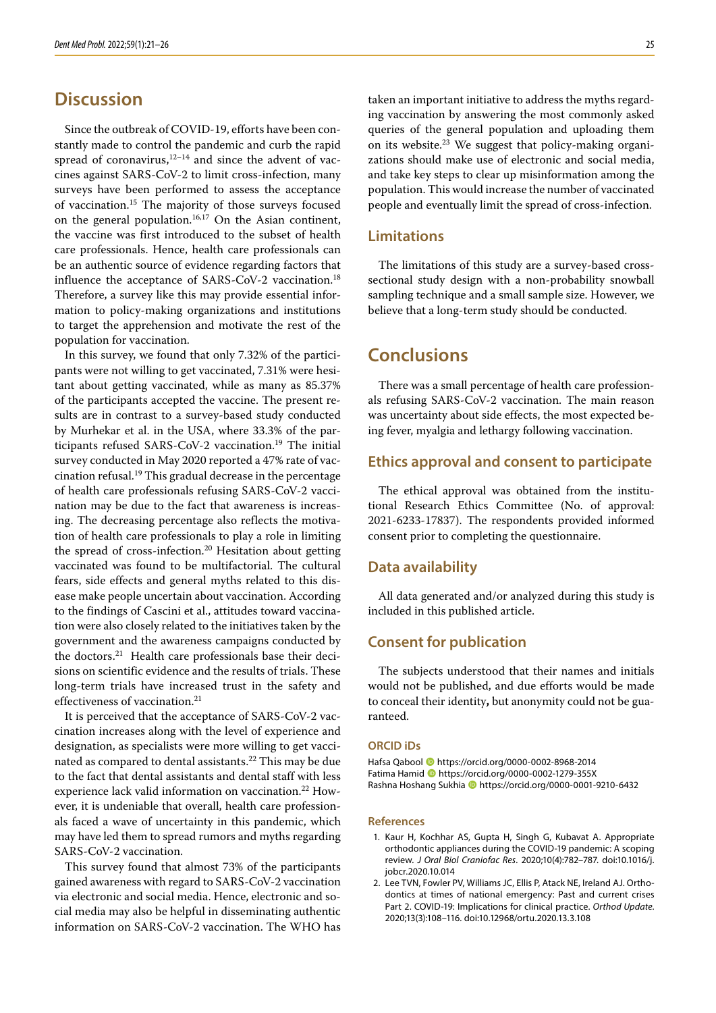# **Discussion**

Since the outbreak of COVID-19, efforts have been constantly made to control the pandemic and curb the rapid spread of coronavirus, $12-14$  and since the advent of vaccines against SARS-CoV-2 to limit cross-infection, many surveys have been performed to assess the acceptance of vaccination.15 The majority of those surveys focused on the general population.<sup>16,17</sup> On the Asian continent, the vaccine was first introduced to the subset of health care professionals. Hence, health care professionals can be an authentic source of evidence regarding factors that influence the acceptance of SARS-CoV-2 vaccination.<sup>18</sup> Therefore, a survey like this may provide essential information to policy-making organizations and institutions to target the apprehension and motivate the rest of the population for vaccination.

In this survey, we found that only 7.32% of the participants were not willing to get vaccinated, 7.31% were hesitant about getting vaccinated, while as many as 85.37% of the participants accepted the vaccine. The present results are in contrast to a survey-based study conducted by Murhekar et al. in the USA, where 33.3% of the participants refused SARS-CoV-2 vaccination.<sup>19</sup> The initial survey conducted in May 2020 reported a 47% rate of vaccination refusal.<sup>19</sup> This gradual decrease in the percentage of health care professionals refusing SARS-CoV-2 vaccination may be due to the fact that awareness is increasing. The decreasing percentage also reflects the motivation of health care professionals to play a role in limiting the spread of cross-infection.<sup>20</sup> Hesitation about getting vaccinated was found to be multifactorial. The cultural fears, side effects and general myths related to this disease make people uncertain about vaccination. According to the findings of Cascini et al., attitudes toward vaccination were also closely related to the initiatives taken by the government and the awareness campaigns conducted by the doctors.<sup>21</sup> Health care professionals base their decisions on scientific evidence and the results of trials. These long-term trials have increased trust in the safety and effectiveness of vaccination.<sup>21</sup>

It is perceived that the acceptance of SARS-CoV-2 vaccination increases along with the level of experience and designation, as specialists were more willing to get vaccinated as compared to dental assistants.<sup>22</sup> This may be due to the fact that dental assistants and dental staff with less experience lack valid information on vaccination.<sup>22</sup> However, it is undeniable that overall, health care professionals faced a wave of uncertainty in this pandemic, which may have led them to spread rumors and myths regarding SARS-CoV-2 vaccination.

This survey found that almost 73% of the participants gained awareness with regard to SARS-CoV-2 vaccination via electronic and social media. Hence, electronic and social media may also be helpful in disseminating authentic information on SARS-CoV-2 vaccination. The WHO has

taken an important initiative to address the myths regarding vaccination by answering the most commonly asked queries of the general population and uploading them on its website.23 We suggest that policy-making organizations should make use of electronic and social media, and take key steps to clear up misinformation among the population. This would increase the number of vaccinated people and eventually limit the spread of cross-infection.

#### **Limitations**

The limitations of this study are a survey-based crosssectional study design with a non-probability snowball sampling technique and a small sample size. However, we believe that a long-term study should be conducted.

## **Conclusions**

There was a small percentage of health care professionals refusing SARS-CoV-2 vaccination. The main reason was uncertainty about side effects, the most expected being fever, myalgia and lethargy following vaccination.

#### **Ethics approval and consent to participate**

The ethical approval was obtained from the institutional Research Ethics Committee (No. of approval: 2021-6233-17837). The respondents provided informed consent prior to completing the questionnaire.

#### **Data availability**

All data generated and/or analyzed during this study is included in this published article.

### **Consent for publication**

The subjects understood that their names and initials would not be published, and due efforts would be made to conceal their identity**,** but anonymity could not be guaranteed.

#### **ORCID iDs**

Hafsa Qabool https://orcid.org/0000-0002-8968-2014 Fatima Hamid https://orcid.org/0000-0002-1279-355X Rashna Hoshang Sukhia <sup>1</sup> https://orcid.org/0000-0001-9210-6432

#### **References**

- 1. Kaur H, Kochhar AS, Gupta H, Singh G, Kubavat A. Appropriate orthodontic appliances during the COVID-19 pandemic: A scoping review. *J Oral Biol Craniofac Res*. 2020;10(4):782–787. doi:10.1016/j. jobcr.2020.10.014
- 2. Lee TVN, Fowler PV, Williams JC, Ellis P, Atack NE, Ireland AJ. Orthodontics at times of national emergency: Past and current crises Part 2. COVID-19: Implications for clinical practice. *Orthod Update*. 2020;13(3):108–116. doi:10.12968/ortu.2020.13.3.108